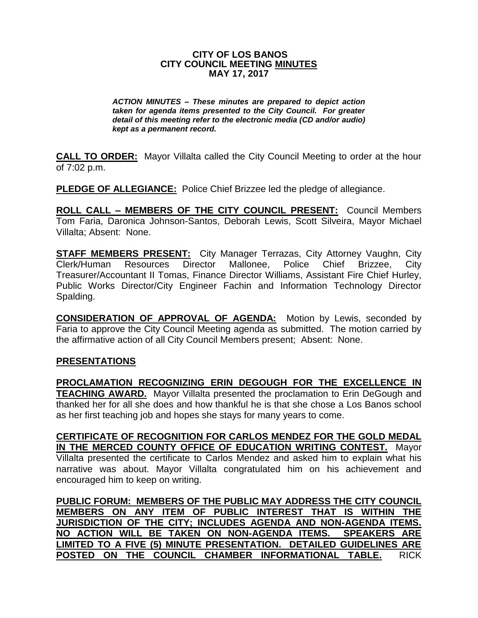## **CITY OF LOS BANOS CITY COUNCIL MEETING MINUTES MAY 17, 2017**

*ACTION MINUTES – These minutes are prepared to depict action taken for agenda items presented to the City Council. For greater detail of this meeting refer to the electronic media (CD and/or audio) kept as a permanent record.*

**CALL TO ORDER:** Mayor Villalta called the City Council Meeting to order at the hour of 7:02 p.m.

**PLEDGE OF ALLEGIANCE:** Police Chief Brizzee led the pledge of allegiance.

**ROLL CALL – MEMBERS OF THE CITY COUNCIL PRESENT:** Council Members Tom Faria, Daronica Johnson-Santos, Deborah Lewis, Scott Silveira, Mayor Michael Villalta; Absent: None.

**STAFF MEMBERS PRESENT:** City Manager Terrazas, City Attorney Vaughn, City Clerk/Human Resources Director Mallonee, Police Chief Brizzee, City Treasurer/Accountant II Tomas, Finance Director Williams, Assistant Fire Chief Hurley, Public Works Director/City Engineer Fachin and Information Technology Director Spalding.

**CONSIDERATION OF APPROVAL OF AGENDA:** Motion by Lewis, seconded by Faria to approve the City Council Meeting agenda as submitted. The motion carried by the affirmative action of all City Council Members present; Absent: None.

## **PRESENTATIONS**

**PROCLAMATION RECOGNIZING ERIN DEGOUGH FOR THE EXCELLENCE IN TEACHING AWARD.** Mayor Villalta presented the proclamation to Erin DeGough and thanked her for all she does and how thankful he is that she chose a Los Banos school as her first teaching job and hopes she stays for many years to come.

**CERTIFICATE OF RECOGNITION FOR CARLOS MENDEZ FOR THE GOLD MEDAL IN THE MERCED COUNTY OFFICE OF EDUCATION WRITING CONTEST.** Mayor Villalta presented the certificate to Carlos Mendez and asked him to explain what his narrative was about. Mayor Villalta congratulated him on his achievement and encouraged him to keep on writing.

**PUBLIC FORUM: MEMBERS OF THE PUBLIC MAY ADDRESS THE CITY COUNCIL MEMBERS ON ANY ITEM OF PUBLIC INTEREST THAT IS WITHIN THE JURISDICTION OF THE CITY; INCLUDES AGENDA AND NON-AGENDA ITEMS. NO ACTION WILL BE TAKEN ON NON-AGENDA ITEMS. SPEAKERS ARE LIMITED TO A FIVE (5) MINUTE PRESENTATION. DETAILED GUIDELINES ARE POSTED ON THE COUNCIL CHAMBER INFORMATIONAL TABLE.** RICK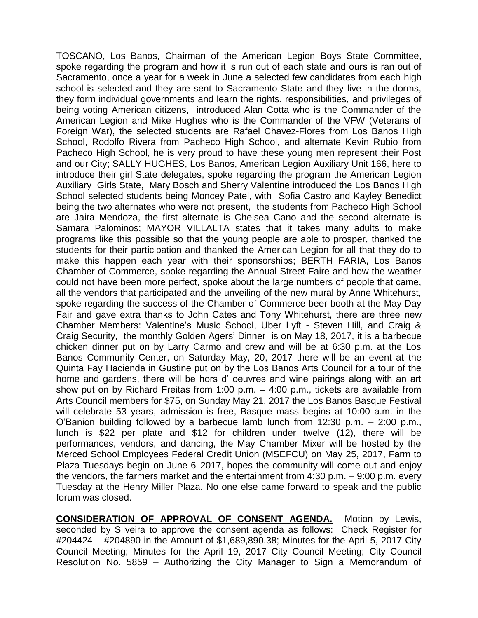TOSCANO, Los Banos, Chairman of the American Legion Boys State Committee, spoke regarding the program and how it is run out of each state and ours is ran out of Sacramento, once a year for a week in June a selected few candidates from each high school is selected and they are sent to Sacramento State and they live in the dorms, they form individual governments and learn the rights, responsibilities, and privileges of being voting American citizens, introduced Alan Cotta who is the Commander of the American Legion and Mike Hughes who is the Commander of the VFW (Veterans of Foreign War), the selected students are Rafael Chavez-Flores from Los Banos High School, Rodolfo Rivera from Pacheco High School, and alternate Kevin Rubio from Pacheco High School, he is very proud to have these young men represent their Post and our City; SALLY HUGHES, Los Banos, American Legion Auxiliary Unit 166, here to introduce their girl State delegates, spoke regarding the program the American Legion Auxiliary Girls State, Mary Bosch and Sherry Valentine introduced the Los Banos High School selected students being Moncey Patel, with Sofia Castro and Kayley Benedict being the two alternates who were not present, the students from Pacheco High School are Jaira Mendoza, the first alternate is Chelsea Cano and the second alternate is Samara Palominos; MAYOR VILLALTA states that it takes many adults to make programs like this possible so that the young people are able to prosper, thanked the students for their participation and thanked the American Legion for all that they do to make this happen each year with their sponsorships; BERTH FARIA, Los Banos Chamber of Commerce, spoke regarding the Annual Street Faire and how the weather could not have been more perfect, spoke about the large numbers of people that came, all the vendors that participated and the unveiling of the new mural by Anne Whitehurst, spoke regarding the success of the Chamber of Commerce beer booth at the May Day Fair and gave extra thanks to John Cates and Tony Whitehurst, there are three new Chamber Members: Valentine's Music School, Uber Lyft - Steven Hill, and Craig & Craig Security, the monthly Golden Agers' Dinner is on May 18, 2017, it is a barbecue chicken dinner put on by Larry Carmo and crew and will be at 6:30 p.m. at the Los Banos Community Center, on Saturday May, 20, 2017 there will be an event at the Quinta Fay Hacienda in Gustine put on by the Los Banos Arts Council for a tour of the home and gardens, there will be hors d' oeuvres and wine pairings along with an art show put on by Richard Freitas from 1:00 p.m. – 4:00 p.m., tickets are available from Arts Council members for \$75, on Sunday May 21, 2017 the Los Banos Basque Festival will celebrate 53 years, admission is free, Basque mass begins at 10:00 a.m. in the O'Banion building followed by a barbecue lamb lunch from 12:30 p.m. – 2:00 p.m., lunch is \$22 per plate and \$12 for children under twelve (12), there will be performances, vendors, and dancing, the May Chamber Mixer will be hosted by the Merced School Employees Federal Credit Union (MSEFCU) on May 25, 2017, Farm to Plaza Tuesdays begin on June 6 2017, hopes the community will come out and enjoy the vendors, the farmers market and the entertainment from 4:30 p.m. – 9:00 p.m. every Tuesday at the Henry Miller Plaza. No one else came forward to speak and the public forum was closed.

**CONSIDERATION OF APPROVAL OF CONSENT AGENDA.** Motion by Lewis, seconded by Silveira to approve the consent agenda as follows: Check Register for #204424 – #204890 in the Amount of \$1,689,890.38; Minutes for the April 5, 2017 City Council Meeting; Minutes for the April 19, 2017 City Council Meeting; City Council Resolution No. 5859 – Authorizing the City Manager to Sign a Memorandum of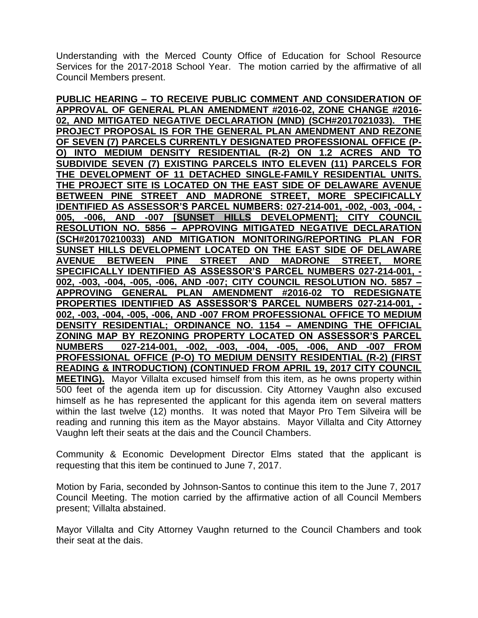Understanding with the Merced County Office of Education for School Resource Services for the 2017-2018 School Year. The motion carried by the affirmative of all Council Members present.

**PUBLIC HEARING – TO RECEIVE PUBLIC COMMENT AND CONSIDERATION OF APPROVAL OF GENERAL PLAN AMENDMENT #2016-02, ZONE CHANGE #2016- 02, AND MITIGATED NEGATIVE DECLARATION (MND) (SCH#2017021033). THE PROJECT PROPOSAL IS FOR THE GENERAL PLAN AMENDMENT AND REZONE OF SEVEN (7) PARCELS CURRENTLY DESIGNATED PROFESSIONAL OFFICE (P-O) INTO MEDIUM DENSITY RESIDENTIAL (R-2) ON 1.2 ACRES AND TO SUBDIVIDE SEVEN (7) EXISTING PARCELS INTO ELEVEN (11) PARCELS FOR THE DEVELOPMENT OF 11 DETACHED SINGLE-FAMILY RESIDENTIAL UNITS. THE PROJECT SITE IS LOCATED ON THE EAST SIDE OF DELAWARE AVENUE BETWEEN PINE STREET AND MADRONE STREET, MORE SPECIFICALLY IDENTIFIED AS ASSESSOR'S PARCEL NUMBERS: 027-214-001, -002, -003, -004, - 005, -006, AND -007 [SUNSET HILLS DEVELOPMENT]; CITY COUNCIL RESOLUTION NO. 5856 – APPROVING MITIGATED NEGATIVE DECLARATION (SCH#20170210033) AND MITIGATION MONITORING/REPORTING PLAN FOR SUNSET HILLS DEVELOPMENT LOCATED ON THE EAST SIDE OF DELAWARE AVENUE BETWEEN PINE STREET AND MADRONE STREET, MORE SPECIFICALLY IDENTIFIED AS ASSESSOR'S PARCEL NUMBERS 027-214-001, - 002, -003, -004, -005, -006, AND -007; CITY COUNCIL RESOLUTION NO. 5857 – APPROVING GENERAL PLAN AMENDMENT #2016-02 TO REDESIGNATE PROPERTIES IDENTIFIED AS ASSESSOR'S PARCEL NUMBERS 027-214-001, - 002, -003, -004, -005, -006, AND -007 FROM PROFESSIONAL OFFICE TO MEDIUM DENSITY RESIDENTIAL; ORDINANCE NO. 1154 – AMENDING THE OFFICIAL ZONING MAP BY REZONING PROPERTY LOCATED ON ASSESSOR'S PARCEL NUMBERS 027-214-001, -002, -003, -004, -005, -006, AND -007 FROM PROFESSIONAL OFFICE (P-O) TO MEDIUM DENSITY RESIDENTIAL (R-2) (FIRST READING & INTRODUCTION) (CONTINUED FROM APRIL 19, 2017 CITY COUNCIL MEETING).** Mayor Villalta excused himself from this item, as he owns property within 500 feet of the agenda item up for discussion. City Attorney Vaughn also excused himself as he has represented the applicant for this agenda item on several matters within the last twelve (12) months. It was noted that Mayor Pro Tem Silveira will be reading and running this item as the Mayor abstains. Mayor Villalta and City Attorney Vaughn left their seats at the dais and the Council Chambers.

Community & Economic Development Director Elms stated that the applicant is requesting that this item be continued to June 7, 2017.

Motion by Faria, seconded by Johnson-Santos to continue this item to the June 7, 2017 Council Meeting. The motion carried by the affirmative action of all Council Members present; Villalta abstained.

Mayor Villalta and City Attorney Vaughn returned to the Council Chambers and took their seat at the dais.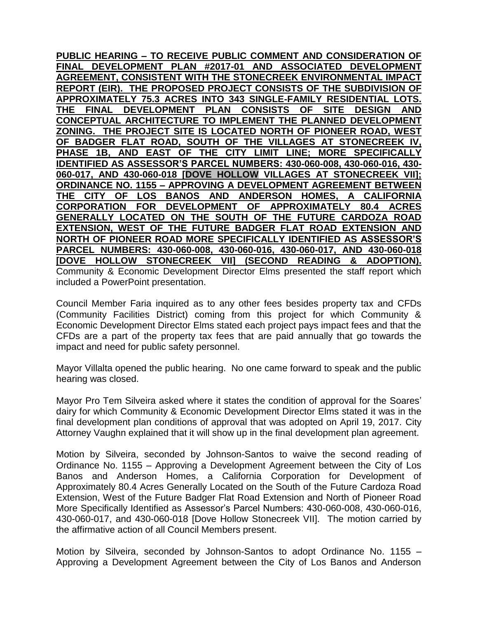**PUBLIC HEARING – TO RECEIVE PUBLIC COMMENT AND CONSIDERATION OF FINAL DEVELOPMENT PLAN #2017-01 AND ASSOCIATED DEVELOPMENT AGREEMENT, CONSISTENT WITH THE STONECREEK ENVIRONMENTAL IMPACT REPORT (EIR). THE PROPOSED PROJECT CONSISTS OF THE SUBDIVISION OF APPROXIMATELY 75.3 ACRES INTO 343 SINGLE-FAMILY RESIDENTIAL LOTS. THE FINAL DEVELOPMENT PLAN CONSISTS OF SITE DESIGN AND CONCEPTUAL ARCHITECTURE TO IMPLEMENT THE PLANNED DEVELOPMENT ZONING. THE PROJECT SITE IS LOCATED NORTH OF PIONEER ROAD, WEST OF BADGER FLAT ROAD, SOUTH OF THE VILLAGES AT STONECREEK IV, PHASE 1B, AND EAST OF THE CITY LIMIT LINE; MORE SPECIFICALLY IDENTIFIED AS ASSESSOR'S PARCEL NUMBERS: 430-060-008, 430-060-016, 430- 060-017, AND 430-060-018 [DOVE HOLLOW VILLAGES AT STONECREEK VII]; ORDINANCE NO. 1155 – APPROVING A DEVELOPMENT AGREEMENT BETWEEN THE CITY OF LOS BANOS AND ANDERSON HOMES, A CALIFORNIA CORPORATION FOR DEVELOPMENT OF APPROXIMATELY 80.4 ACRES GENERALLY LOCATED ON THE SOUTH OF THE FUTURE CARDOZA ROAD EXTENSION, WEST OF THE FUTURE BADGER FLAT ROAD EXTENSION AND NORTH OF PIONEER ROAD MORE SPECIFICALLY IDENTIFIED AS ASSESSOR'S PARCEL NUMBERS: 430-060-008, 430-060-016, 430-060-017, AND 430-060-018 [DOVE HOLLOW STONECREEK VII] (SECOND READING & ADOPTION).**  Community & Economic Development Director Elms presented the staff report which included a PowerPoint presentation.

Council Member Faria inquired as to any other fees besides property tax and CFDs (Community Facilities District) coming from this project for which Community & Economic Development Director Elms stated each project pays impact fees and that the CFDs are a part of the property tax fees that are paid annually that go towards the impact and need for public safety personnel.

Mayor Villalta opened the public hearing. No one came forward to speak and the public hearing was closed.

Mayor Pro Tem Silveira asked where it states the condition of approval for the Soares' dairy for which Community & Economic Development Director Elms stated it was in the final development plan conditions of approval that was adopted on April 19, 2017. City Attorney Vaughn explained that it will show up in the final development plan agreement.

Motion by Silveira, seconded by Johnson-Santos to waive the second reading of Ordinance No. 1155 – Approving a Development Agreement between the City of Los Banos and Anderson Homes, a California Corporation for Development of Approximately 80.4 Acres Generally Located on the South of the Future Cardoza Road Extension, West of the Future Badger Flat Road Extension and North of Pioneer Road More Specifically Identified as Assessor's Parcel Numbers: 430-060-008, 430-060-016, 430-060-017, and 430-060-018 [Dove Hollow Stonecreek VII]. The motion carried by the affirmative action of all Council Members present.

Motion by Silveira, seconded by Johnson-Santos to adopt Ordinance No. 1155 – Approving a Development Agreement between the City of Los Banos and Anderson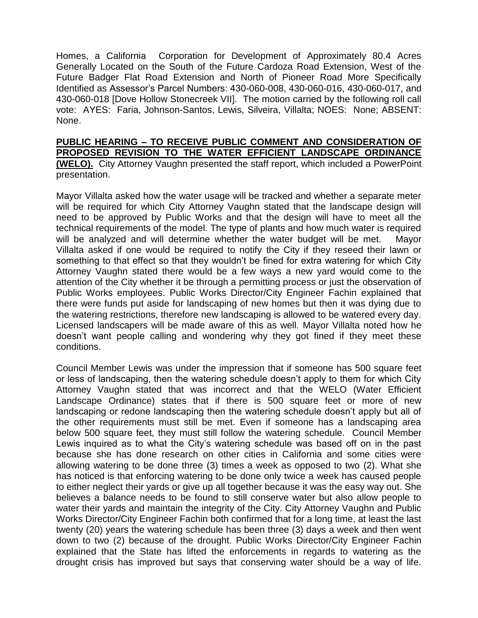Homes, a California Corporation for Development of Approximately 80.4 Acres Generally Located on the South of the Future Cardoza Road Extension, West of the Future Badger Flat Road Extension and North of Pioneer Road More Specifically Identified as Assessor's Parcel Numbers: 430-060-008, 430-060-016, 430-060-017, and 430-060-018 [Dove Hollow Stonecreek VII]. The motion carried by the following roll call vote: AYES: Faria, Johnson-Santos, Lewis, Silveira, Villalta; NOES: None; ABSENT: None.

**PUBLIC HEARING – TO RECEIVE PUBLIC COMMENT AND CONSIDERATION OF PROPOSED REVISION TO THE WATER EFFICIENT LANDSCAPE ORDINANCE (WELO).** City Attorney Vaughn presented the staff report, which included a PowerPoint presentation.

Mayor Villalta asked how the water usage will be tracked and whether a separate meter will be required for which City Attorney Vaughn stated that the landscape design will need to be approved by Public Works and that the design will have to meet all the technical requirements of the model. The type of plants and how much water is required will be analyzed and will determine whether the water budget will be met. Mayor Villalta asked if one would be required to notify the City if they reseed their lawn or something to that effect so that they wouldn't be fined for extra watering for which City Attorney Vaughn stated there would be a few ways a new yard would come to the attention of the City whether it be through a permitting process or just the observation of Public Works employees. Public Works Director/City Engineer Fachin explained that there were funds put aside for landscaping of new homes but then it was dying due to the watering restrictions, therefore new landscaping is allowed to be watered every day. Licensed landscapers will be made aware of this as well. Mayor Villalta noted how he doesn't want people calling and wondering why they got fined if they meet these conditions.

Council Member Lewis was under the impression that if someone has 500 square feet or less of landscaping, then the watering schedule doesn't apply to them for which City Attorney Vaughn stated that was incorrect and that the WELO (Water Efficient Landscape Ordinance) states that if there is 500 square feet or more of new landscaping or redone landscaping then the watering schedule doesn't apply but all of the other requirements must still be met. Even if someone has a landscaping area below 500 square feet, they must still follow the watering schedule. Council Member Lewis inquired as to what the City's watering schedule was based off on in the past because she has done research on other cities in California and some cities were allowing watering to be done three (3) times a week as opposed to two (2). What she has noticed is that enforcing watering to be done only twice a week has caused people to either neglect their yards or give up all together because it was the easy way out. She believes a balance needs to be found to still conserve water but also allow people to water their yards and maintain the integrity of the City. City Attorney Vaughn and Public Works Director/City Engineer Fachin both confirmed that for a long time, at least the last twenty (20) years the watering schedule has been three (3) days a week and then went down to two (2) because of the drought. Public Works Director/City Engineer Fachin explained that the State has lifted the enforcements in regards to watering as the drought crisis has improved but says that conserving water should be a way of life.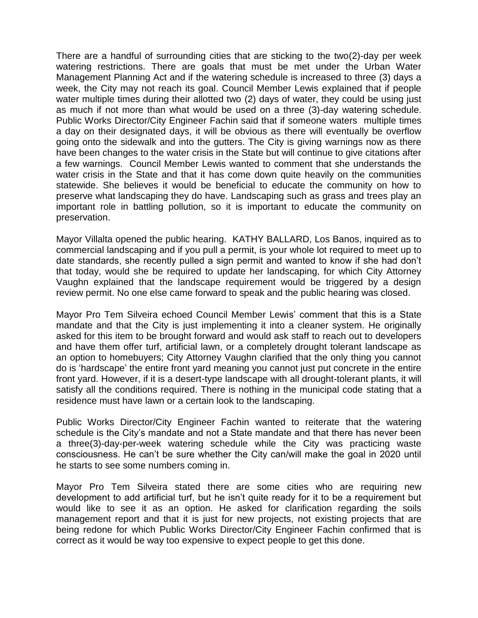There are a handful of surrounding cities that are sticking to the two(2)-day per week watering restrictions. There are goals that must be met under the Urban Water Management Planning Act and if the watering schedule is increased to three (3) days a week, the City may not reach its goal. Council Member Lewis explained that if people water multiple times during their allotted two (2) days of water, they could be using just as much if not more than what would be used on a three (3)-day watering schedule. Public Works Director/City Engineer Fachin said that if someone waters multiple times a day on their designated days, it will be obvious as there will eventually be overflow going onto the sidewalk and into the gutters. The City is giving warnings now as there have been changes to the water crisis in the State but will continue to give citations after a few warnings. Council Member Lewis wanted to comment that she understands the water crisis in the State and that it has come down quite heavily on the communities statewide. She believes it would be beneficial to educate the community on how to preserve what landscaping they do have. Landscaping such as grass and trees play an important role in battling pollution, so it is important to educate the community on preservation.

Mayor Villalta opened the public hearing. KATHY BALLARD, Los Banos, inquired as to commercial landscaping and if you pull a permit, is your whole lot required to meet up to date standards, she recently pulled a sign permit and wanted to know if she had don't that today, would she be required to update her landscaping, for which City Attorney Vaughn explained that the landscape requirement would be triggered by a design review permit. No one else came forward to speak and the public hearing was closed.

Mayor Pro Tem Silveira echoed Council Member Lewis' comment that this is a State mandate and that the City is just implementing it into a cleaner system. He originally asked for this item to be brought forward and would ask staff to reach out to developers and have them offer turf, artificial lawn, or a completely drought tolerant landscape as an option to homebuyers; City Attorney Vaughn clarified that the only thing you cannot do is 'hardscape' the entire front yard meaning you cannot just put concrete in the entire front yard. However, if it is a desert-type landscape with all drought-tolerant plants, it will satisfy all the conditions required. There is nothing in the municipal code stating that a residence must have lawn or a certain look to the landscaping.

Public Works Director/City Engineer Fachin wanted to reiterate that the watering schedule is the City's mandate and not a State mandate and that there has never been a three(3)-day-per-week watering schedule while the City was practicing waste consciousness. He can't be sure whether the City can/will make the goal in 2020 until he starts to see some numbers coming in.

Mayor Pro Tem Silveira stated there are some cities who are requiring new development to add artificial turf, but he isn't quite ready for it to be a requirement but would like to see it as an option. He asked for clarification regarding the soils management report and that it is just for new projects, not existing projects that are being redone for which Public Works Director/City Engineer Fachin confirmed that is correct as it would be way too expensive to expect people to get this done.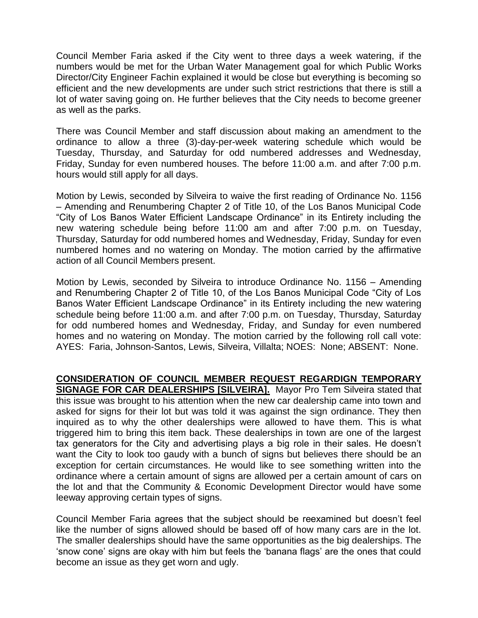Council Member Faria asked if the City went to three days a week watering, if the numbers would be met for the Urban Water Management goal for which Public Works Director/City Engineer Fachin explained it would be close but everything is becoming so efficient and the new developments are under such strict restrictions that there is still a lot of water saving going on. He further believes that the City needs to become greener as well as the parks.

There was Council Member and staff discussion about making an amendment to the ordinance to allow a three (3)-day-per-week watering schedule which would be Tuesday, Thursday, and Saturday for odd numbered addresses and Wednesday, Friday, Sunday for even numbered houses. The before 11:00 a.m. and after 7:00 p.m. hours would still apply for all days.

Motion by Lewis, seconded by Silveira to waive the first reading of Ordinance No. 1156 – Amending and Renumbering Chapter 2 of Title 10, of the Los Banos Municipal Code "City of Los Banos Water Efficient Landscape Ordinance" in its Entirety including the new watering schedule being before 11:00 am and after 7:00 p.m. on Tuesday, Thursday, Saturday for odd numbered homes and Wednesday, Friday, Sunday for even numbered homes and no watering on Monday. The motion carried by the affirmative action of all Council Members present.

Motion by Lewis, seconded by Silveira to introduce Ordinance No. 1156 – Amending and Renumbering Chapter 2 of Title 10, of the Los Banos Municipal Code "City of Los Banos Water Efficient Landscape Ordinance" in its Entirety including the new watering schedule being before 11:00 a.m. and after 7:00 p.m. on Tuesday, Thursday, Saturday for odd numbered homes and Wednesday, Friday, and Sunday for even numbered homes and no watering on Monday. The motion carried by the following roll call vote: AYES: Faria, Johnson-Santos, Lewis, Silveira, Villalta; NOES: None; ABSENT: None.

**CONSIDERATION OF COUNCIL MEMBER REQUEST REGARDIGN TEMPORARY SIGNAGE FOR CAR DEALERSHIPS [SILVEIRA].** Mayor Pro Tem Silveira stated that this issue was brought to his attention when the new car dealership came into town and asked for signs for their lot but was told it was against the sign ordinance. They then inquired as to why the other dealerships were allowed to have them. This is what triggered him to bring this item back. These dealerships in town are one of the largest tax generators for the City and advertising plays a big role in their sales. He doesn't want the City to look too gaudy with a bunch of signs but believes there should be an exception for certain circumstances. He would like to see something written into the ordinance where a certain amount of signs are allowed per a certain amount of cars on the lot and that the Community & Economic Development Director would have some leeway approving certain types of signs.

Council Member Faria agrees that the subject should be reexamined but doesn't feel like the number of signs allowed should be based off of how many cars are in the lot. The smaller dealerships should have the same opportunities as the big dealerships. The 'snow cone' signs are okay with him but feels the 'banana flags' are the ones that could become an issue as they get worn and ugly.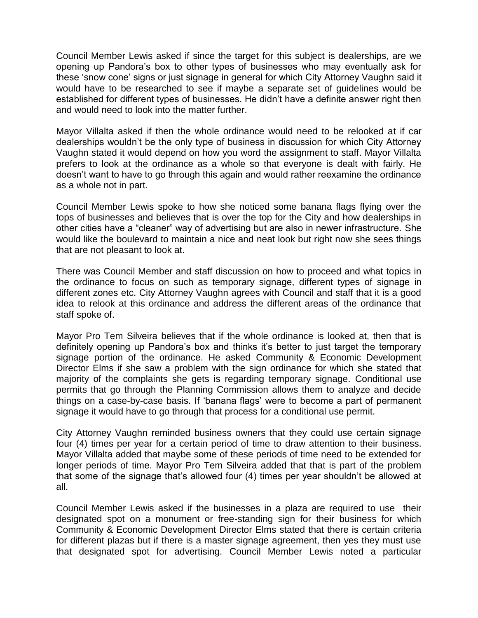Council Member Lewis asked if since the target for this subject is dealerships, are we opening up Pandora's box to other types of businesses who may eventually ask for these 'snow cone' signs or just signage in general for which City Attorney Vaughn said it would have to be researched to see if maybe a separate set of guidelines would be established for different types of businesses. He didn't have a definite answer right then and would need to look into the matter further.

Mayor Villalta asked if then the whole ordinance would need to be relooked at if car dealerships wouldn't be the only type of business in discussion for which City Attorney Vaughn stated it would depend on how you word the assignment to staff. Mayor Villalta prefers to look at the ordinance as a whole so that everyone is dealt with fairly. He doesn't want to have to go through this again and would rather reexamine the ordinance as a whole not in part.

Council Member Lewis spoke to how she noticed some banana flags flying over the tops of businesses and believes that is over the top for the City and how dealerships in other cities have a "cleaner" way of advertising but are also in newer infrastructure. She would like the boulevard to maintain a nice and neat look but right now she sees things that are not pleasant to look at.

There was Council Member and staff discussion on how to proceed and what topics in the ordinance to focus on such as temporary signage, different types of signage in different zones etc. City Attorney Vaughn agrees with Council and staff that it is a good idea to relook at this ordinance and address the different areas of the ordinance that staff spoke of.

Mayor Pro Tem Silveira believes that if the whole ordinance is looked at, then that is definitely opening up Pandora's box and thinks it's better to just target the temporary signage portion of the ordinance. He asked Community & Economic Development Director Elms if she saw a problem with the sign ordinance for which she stated that majority of the complaints she gets is regarding temporary signage. Conditional use permits that go through the Planning Commission allows them to analyze and decide things on a case-by-case basis. If 'banana flags' were to become a part of permanent signage it would have to go through that process for a conditional use permit.

City Attorney Vaughn reminded business owners that they could use certain signage four (4) times per year for a certain period of time to draw attention to their business. Mayor Villalta added that maybe some of these periods of time need to be extended for longer periods of time. Mayor Pro Tem Silveira added that that is part of the problem that some of the signage that's allowed four (4) times per year shouldn't be allowed at all.

Council Member Lewis asked if the businesses in a plaza are required to use their designated spot on a monument or free-standing sign for their business for which Community & Economic Development Director Elms stated that there is certain criteria for different plazas but if there is a master signage agreement, then yes they must use that designated spot for advertising. Council Member Lewis noted a particular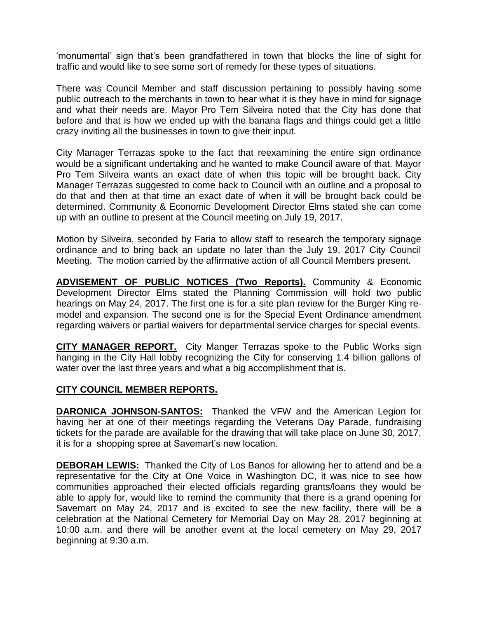'monumental' sign that's been grandfathered in town that blocks the line of sight for traffic and would like to see some sort of remedy for these types of situations.

There was Council Member and staff discussion pertaining to possibly having some public outreach to the merchants in town to hear what it is they have in mind for signage and what their needs are. Mayor Pro Tem Silveira noted that the City has done that before and that is how we ended up with the banana flags and things could get a little crazy inviting all the businesses in town to give their input.

City Manager Terrazas spoke to the fact that reexamining the entire sign ordinance would be a significant undertaking and he wanted to make Council aware of that. Mayor Pro Tem Silveira wants an exact date of when this topic will be brought back. City Manager Terrazas suggested to come back to Council with an outline and a proposal to do that and then at that time an exact date of when it will be brought back could be determined. Community & Economic Development Director Elms stated she can come up with an outline to present at the Council meeting on July 19, 2017.

Motion by Silveira, seconded by Faria to allow staff to research the temporary signage ordinance and to bring back an update no later than the July 19, 2017 City Council Meeting. The motion carried by the affirmative action of all Council Members present.

**ADVISEMENT OF PUBLIC NOTICES (Two Reports).** Community & Economic Development Director Elms stated the Planning Commission will hold two public hearings on May 24, 2017. The first one is for a site plan review for the Burger King remodel and expansion. The second one is for the Special Event Ordinance amendment regarding waivers or partial waivers for departmental service charges for special events.

**CITY MANAGER REPORT.** City Manger Terrazas spoke to the Public Works sign hanging in the City Hall lobby recognizing the City for conserving 1.4 billion gallons of water over the last three years and what a big accomplishment that is.

## **CITY COUNCIL MEMBER REPORTS.**

**DARONICA JOHNSON-SANTOS:** Thanked the VFW and the American Legion for having her at one of their meetings regarding the Veterans Day Parade, fundraising tickets for the parade are available for the drawing that will take place on June 30, 2017, it is for a shopping spree at Savemart's new location.

**DEBORAH LEWIS:** Thanked the City of Los Banos for allowing her to attend and be a representative for the City at One Voice in Washington DC, it was nice to see how communities approached their elected officials regarding grants/loans they would be able to apply for, would like to remind the community that there is a grand opening for Savemart on May 24, 2017 and is excited to see the new facility, there will be a celebration at the National Cemetery for Memorial Day on May 28, 2017 beginning at 10:00 a.m. and there will be another event at the local cemetery on May 29, 2017 beginning at 9:30 a.m.